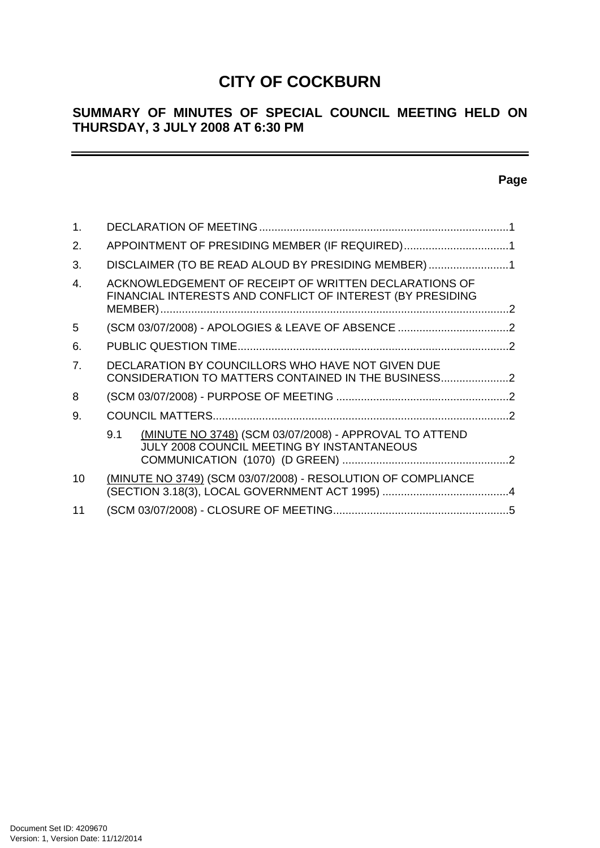# **CITY OF COCKBURN**

# **SUMMARY OF MINUTES OF SPECIAL COUNCIL MEETING HELD ON THURSDAY, 3 JULY 2008 AT 6:30 PM**

# **Page**

| 1.             |                                                                                                                     |  |
|----------------|---------------------------------------------------------------------------------------------------------------------|--|
| 2.             | APPOINTMENT OF PRESIDING MEMBER (IF REQUIRED)1                                                                      |  |
| 3.             | DISCLAIMER (TO BE READ ALOUD BY PRESIDING MEMBER)1                                                                  |  |
| 4.             | ACKNOWLEDGEMENT OF RECEIPT OF WRITTEN DECLARATIONS OF<br>FINANCIAL INTERESTS AND CONFLICT OF INTEREST (BY PRESIDING |  |
| 5              | (SCM 03/07/2008) - APOLOGIES & LEAVE OF ABSENCE 2                                                                   |  |
| 6.             |                                                                                                                     |  |
| 7 <sub>1</sub> | DECLARATION BY COUNCILLORS WHO HAVE NOT GIVEN DUE<br>CONSIDERATION TO MATTERS CONTAINED IN THE BUSINESS2            |  |
| 8              |                                                                                                                     |  |
| 9.             |                                                                                                                     |  |
|                | (MINUTE NO 3748) (SCM 03/07/2008) - APPROVAL TO ATTEND<br>9.1<br>JULY 2008 COUNCIL MEETING BY INSTANTANEOUS         |  |
| 10             | (MINUTE NO 3749) (SCM 03/07/2008) - RESOLUTION OF COMPLIANCE                                                        |  |
| 11             |                                                                                                                     |  |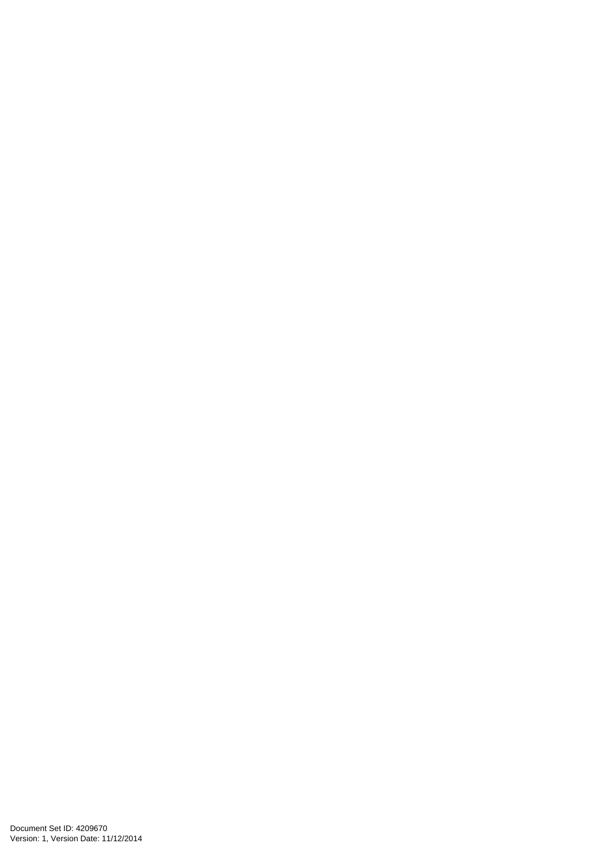Document Set ID: 4209670<br>Version: 1, Version Date: 11/12/2014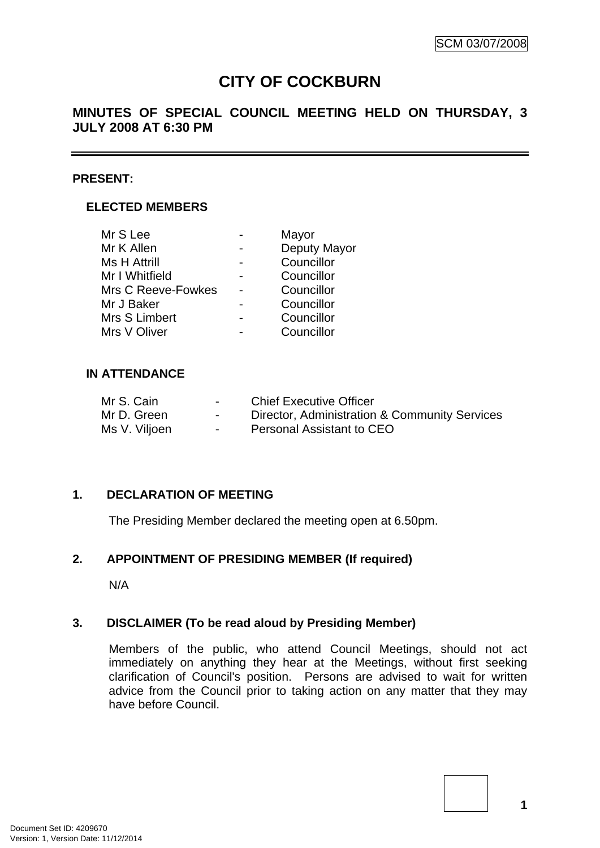# **CITY OF COCKBURN**

# <span id="page-2-0"></span>**MINUTES OF SPECIAL COUNCIL MEETING HELD ON THURSDAY, 3 JULY 2008 AT 6:30 PM**

#### **PRESENT:**

#### **ELECTED MEMBERS**

| Deputy Mayor |
|--------------|
| Councillor   |
| Councillor   |
| Councillor   |
| Councillor   |
| Councillor   |
| Councillor   |
|              |

#### **IN ATTENDANCE**

| Mr S. Cain    | $\sim$ | <b>Chief Executive Officer</b>                |
|---------------|--------|-----------------------------------------------|
| Mr D. Green   | $\sim$ | Director, Administration & Community Services |
| Ms V. Viljoen | $\sim$ | Personal Assistant to CEO                     |

#### **1. DECLARATION OF MEETING**

The Presiding Member declared the meeting open at 6.50pm.

#### **2. APPOINTMENT OF PRESIDING MEMBER (If required)**

N/A

#### **3. DISCLAIMER (To be read aloud by Presiding Member)**

Members of the public, who attend Council Meetings, should not act immediately on anything they hear at the Meetings, without first seeking clarification of Council's position. Persons are advised to wait for written advice from the Council prior to taking action on any matter that they may have before Council.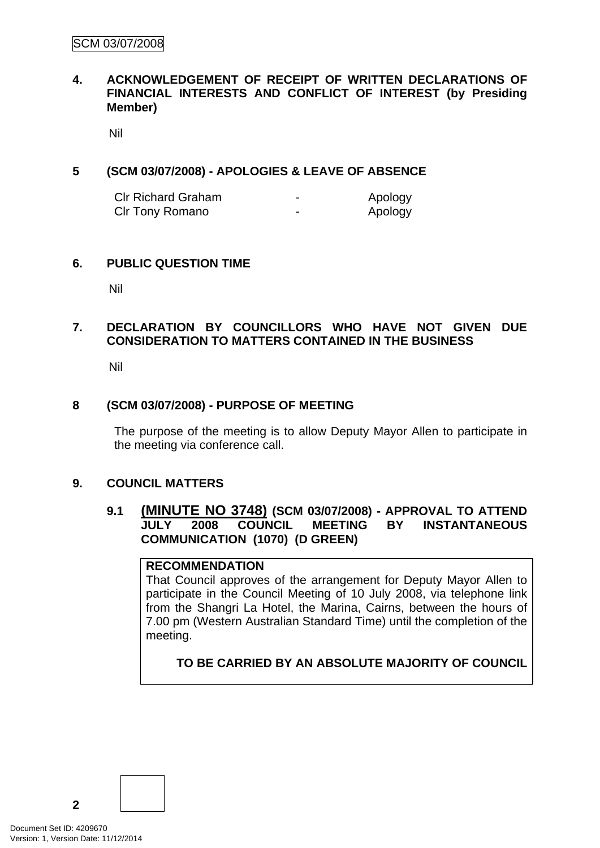#### <span id="page-3-0"></span>SCM 03/07/2008

#### **4. ACKNOWLEDGEMENT OF RECEIPT OF WRITTEN DECLARATIONS OF FINANCIAL INTERESTS AND CONFLICT OF INTEREST (by Presiding Member)**

Nil

#### **5 (SCM 03/07/2008) - APOLOGIES & LEAVE OF ABSENCE**

| <b>CIr Richard Graham</b> | - | Apology |
|---------------------------|---|---------|
| CIr Tony Romano           | - | Apology |

#### **6. PUBLIC QUESTION TIME**

Nil

#### **7. DECLARATION BY COUNCILLORS WHO HAVE NOT GIVEN DUE CONSIDERATION TO MATTERS CONTAINED IN THE BUSINESS**

Nil

#### **8 (SCM 03/07/2008) - PURPOSE OF MEETING**

The purpose of the meeting is to allow Deputy Mayor Allen to participate in the meeting via conference call.

#### **9. COUNCIL MATTERS**

#### **9.1 (MINUTE NO 3748) (SCM 03/07/2008) - APPROVAL TO ATTEND JULY 2008 COUNCIL MEETING BY INSTANTANEOUS COMMUNICATION (1070) (D GREEN)**

#### **RECOMMENDATION**

That Council approves of the arrangement for Deputy Mayor Allen to participate in the Council Meeting of 10 July 2008, via telephone link from the Shangri La Hotel, the Marina, Cairns, between the hours of 7.00 pm (Western Australian Standard Time) until the completion of the meeting.

#### **TO BE CARRIED BY AN ABSOLUTE MAJORITY OF COUNCIL**

**2**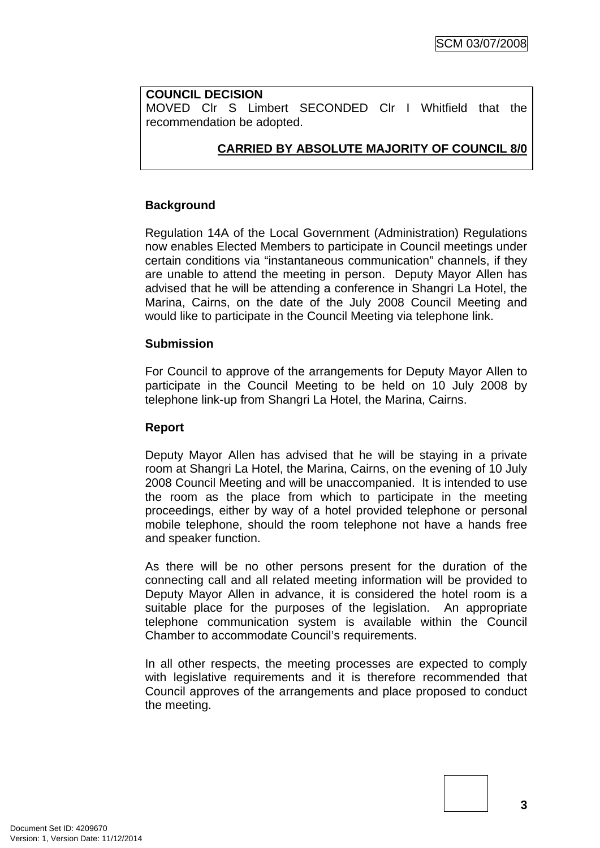#### **COUNCIL DECISION**

MOVED Clr S Limbert SECONDED Clr I Whitfield that the recommendation be adopted.

# **CARRIED BY ABSOLUTE MAJORITY OF COUNCIL 8/0**

## **Background**

Regulation 14A of the Local Government (Administration) Regulations now enables Elected Members to participate in Council meetings under certain conditions via "instantaneous communication" channels, if they are unable to attend the meeting in person. Deputy Mayor Allen has advised that he will be attending a conference in Shangri La Hotel, the Marina, Cairns, on the date of the July 2008 Council Meeting and would like to participate in the Council Meeting via telephone link.

#### **Submission**

For Council to approve of the arrangements for Deputy Mayor Allen to participate in the Council Meeting to be held on 10 July 2008 by telephone link-up from Shangri La Hotel, the Marina, Cairns.

#### **Report**

Deputy Mayor Allen has advised that he will be staying in a private room at Shangri La Hotel, the Marina, Cairns, on the evening of 10 July 2008 Council Meeting and will be unaccompanied. It is intended to use the room as the place from which to participate in the meeting proceedings, either by way of a hotel provided telephone or personal mobile telephone, should the room telephone not have a hands free and speaker function.

As there will be no other persons present for the duration of the connecting call and all related meeting information will be provided to Deputy Mayor Allen in advance, it is considered the hotel room is a suitable place for the purposes of the legislation. An appropriate telephone communication system is available within the Council Chamber to accommodate Council's requirements.

In all other respects, the meeting processes are expected to comply with legislative requirements and it is therefore recommended that Council approves of the arrangements and place proposed to conduct the meeting.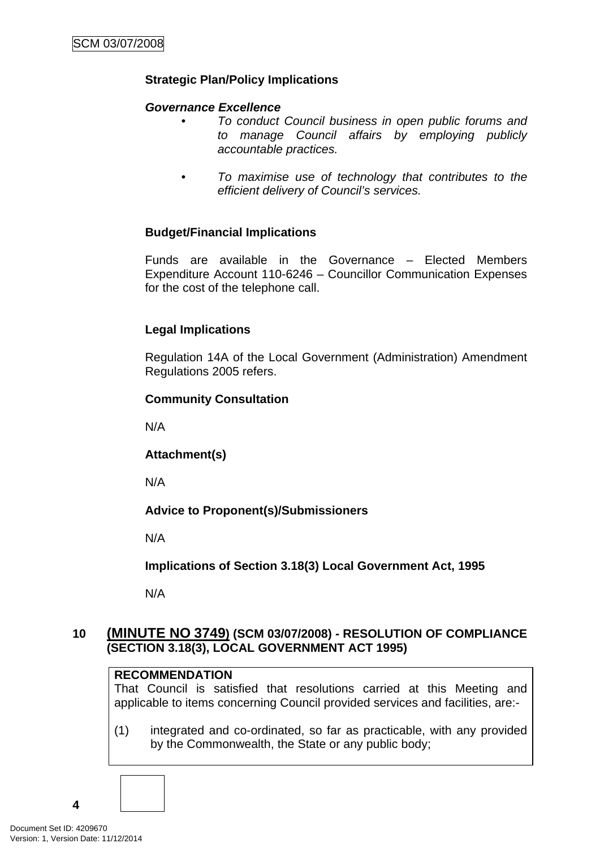# <span id="page-5-0"></span>**Strategic Plan/Policy Implications**

#### *Governance Excellence*

- *To conduct Council business in open public forums and to manage Council affairs by employing publicly accountable practices.*
- *To maximise use of technology that contributes to the efficient delivery of Council's services.*

#### **Budget/Financial Implications**

Funds are available in the Governance – Elected Members Expenditure Account 110-6246 – Councillor Communication Expenses for the cost of the telephone call.

## **Legal Implications**

Regulation 14A of the Local Government (Administration) Amendment Regulations 2005 refers.

#### **Community Consultation**

N/A

**Attachment(s)**

N/A

# **Advice to Proponent(s)/Submissioners**

N/A

**Implications of Section 3.18(3) Local Government Act, 1995**

N/A

# **10 (MINUTE NO 3749) (SCM 03/07/2008) - RESOLUTION OF COMPLIANCE (SECTION 3.18(3), LOCAL GOVERNMENT ACT 1995)**

#### **RECOMMENDATION**

That Council is satisfied that resolutions carried at this Meeting and applicable to items concerning Council provided services and facilities, are:-

(1) integrated and co-ordinated, so far as practicable, with any provided by the Commonwealth, the State or any public body;

**4**